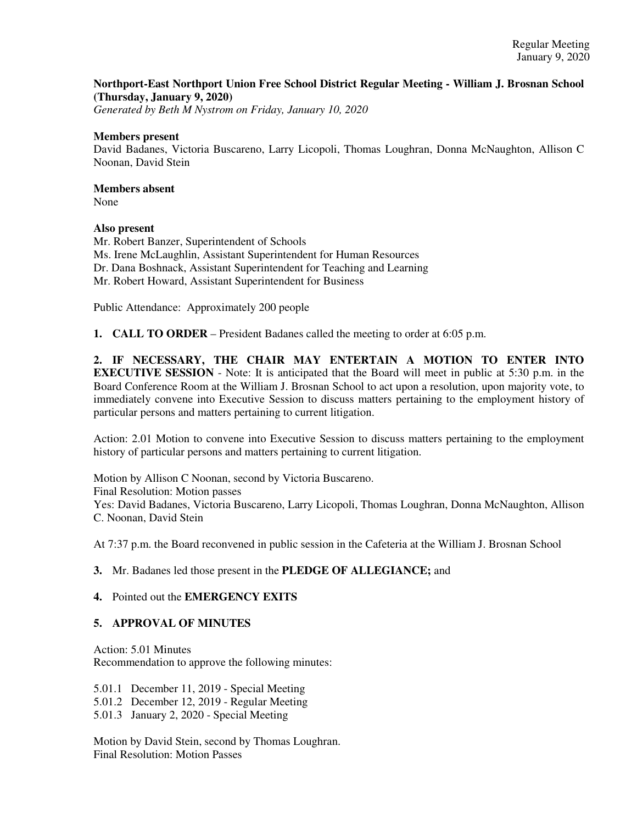## **Northport-East Northport Union Free School District Regular Meeting - William J. Brosnan School (Thursday, January 9, 2020)**

*Generated by Beth M Nystrom on Friday, January 10, 2020*

#### **Members present**

David Badanes, Victoria Buscareno, Larry Licopoli, Thomas Loughran, Donna McNaughton, Allison C Noonan, David Stein

# **Members absent**

None

## **Also present**

Mr. Robert Banzer, Superintendent of Schools Ms. Irene McLaughlin, Assistant Superintendent for Human Resources Dr. Dana Boshnack, Assistant Superintendent for Teaching and Learning Mr. Robert Howard, Assistant Superintendent for Business

Public Attendance: Approximately 200 people

**1. CALL TO ORDER** – President Badanes called the meeting to order at 6:05 p.m.

**2. IF NECESSARY, THE CHAIR MAY ENTERTAIN A MOTION TO ENTER INTO EXECUTIVE SESSION** - Note: It is anticipated that the Board will meet in public at 5:30 p.m. in the Board Conference Room at the William J. Brosnan School to act upon a resolution, upon majority vote, to immediately convene into Executive Session to discuss matters pertaining to the employment history of particular persons and matters pertaining to current litigation.

Action: 2.01 Motion to convene into Executive Session to discuss matters pertaining to the employment history of particular persons and matters pertaining to current litigation.

Motion by Allison C Noonan, second by Victoria Buscareno. Final Resolution: Motion passes Yes: David Badanes, Victoria Buscareno, Larry Licopoli, Thomas Loughran, Donna McNaughton, Allison C. Noonan, David Stein

At 7:37 p.m. the Board reconvened in public session in the Cafeteria at the William J. Brosnan School

## **3.** Mr. Badanes led those present in the **PLEDGE OF ALLEGIANCE;** and

## **4.** Pointed out the **EMERGENCY EXITS**

## **5. APPROVAL OF MINUTES**

Action: 5.01 Minutes Recommendation to approve the following minutes:

5.01.1 December 11, 2019 - Special Meeting 5.01.2 December 12, 2019 - Regular Meeting 5.01.3 January 2, 2020 - Special Meeting

Motion by David Stein, second by Thomas Loughran. Final Resolution: Motion Passes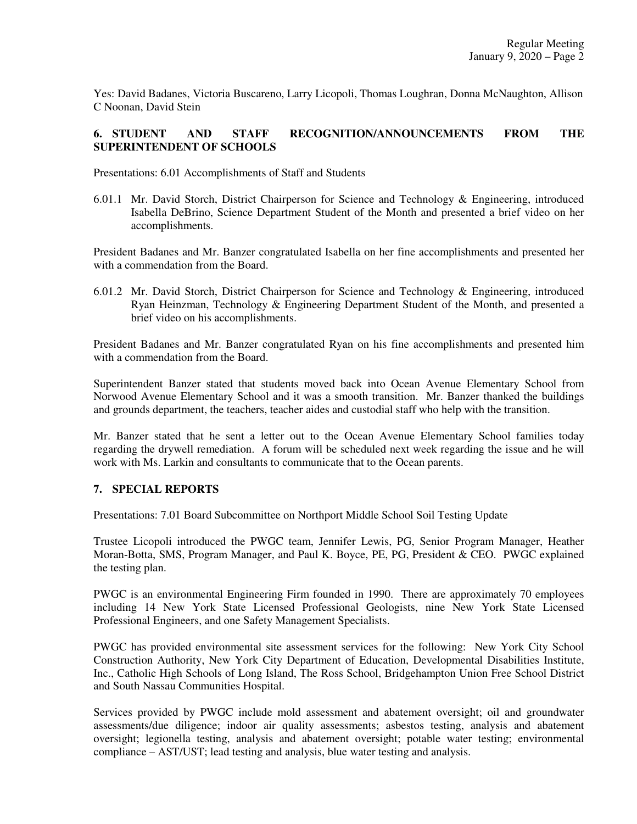Yes: David Badanes, Victoria Buscareno, Larry Licopoli, Thomas Loughran, Donna McNaughton, Allison C Noonan, David Stein

## **6. STUDENT AND STAFF RECOGNITION/ANNOUNCEMENTS FROM THE SUPERINTENDENT OF SCHOOLS**

Presentations: 6.01 Accomplishments of Staff and Students

6.01.1 Mr. David Storch, District Chairperson for Science and Technology & Engineering, introduced Isabella DeBrino, Science Department Student of the Month and presented a brief video on her accomplishments.

President Badanes and Mr. Banzer congratulated Isabella on her fine accomplishments and presented her with a commendation from the Board.

6.01.2 Mr. David Storch, District Chairperson for Science and Technology & Engineering, introduced Ryan Heinzman, Technology & Engineering Department Student of the Month, and presented a brief video on his accomplishments.

President Badanes and Mr. Banzer congratulated Ryan on his fine accomplishments and presented him with a commendation from the Board.

Superintendent Banzer stated that students moved back into Ocean Avenue Elementary School from Norwood Avenue Elementary School and it was a smooth transition. Mr. Banzer thanked the buildings and grounds department, the teachers, teacher aides and custodial staff who help with the transition.

Mr. Banzer stated that he sent a letter out to the Ocean Avenue Elementary School families today regarding the drywell remediation. A forum will be scheduled next week regarding the issue and he will work with Ms. Larkin and consultants to communicate that to the Ocean parents.

## **7. SPECIAL REPORTS**

Presentations: 7.01 Board Subcommittee on Northport Middle School Soil Testing Update

Trustee Licopoli introduced the PWGC team, Jennifer Lewis, PG, Senior Program Manager, Heather Moran-Botta, SMS, Program Manager, and Paul K. Boyce, PE, PG, President & CEO. PWGC explained the testing plan.

PWGC is an environmental Engineering Firm founded in 1990. There are approximately 70 employees including 14 New York State Licensed Professional Geologists, nine New York State Licensed Professional Engineers, and one Safety Management Specialists.

PWGC has provided environmental site assessment services for the following: New York City School Construction Authority, New York City Department of Education, Developmental Disabilities Institute, Inc., Catholic High Schools of Long Island, The Ross School, Bridgehampton Union Free School District and South Nassau Communities Hospital.

Services provided by PWGC include mold assessment and abatement oversight; oil and groundwater assessments/due diligence; indoor air quality assessments; asbestos testing, analysis and abatement oversight; legionella testing, analysis and abatement oversight; potable water testing; environmental compliance – AST/UST; lead testing and analysis, blue water testing and analysis.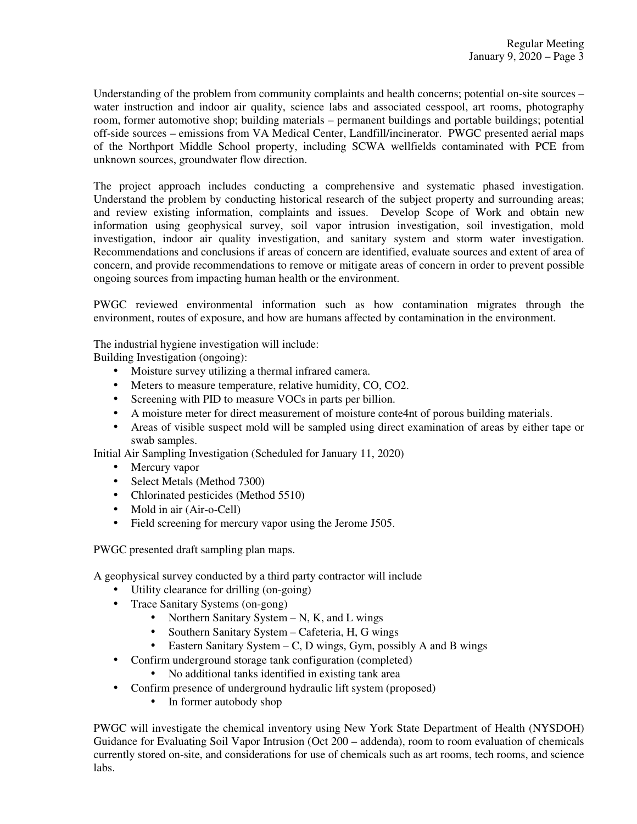Understanding of the problem from community complaints and health concerns; potential on-site sources – water instruction and indoor air quality, science labs and associated cesspool, art rooms, photography room, former automotive shop; building materials – permanent buildings and portable buildings; potential off-side sources – emissions from VA Medical Center, Landfill/incinerator. PWGC presented aerial maps of the Northport Middle School property, including SCWA wellfields contaminated with PCE from unknown sources, groundwater flow direction.

The project approach includes conducting a comprehensive and systematic phased investigation. Understand the problem by conducting historical research of the subject property and surrounding areas; and review existing information, complaints and issues. Develop Scope of Work and obtain new information using geophysical survey, soil vapor intrusion investigation, soil investigation, mold investigation, indoor air quality investigation, and sanitary system and storm water investigation. Recommendations and conclusions if areas of concern are identified, evaluate sources and extent of area of concern, and provide recommendations to remove or mitigate areas of concern in order to prevent possible ongoing sources from impacting human health or the environment.

PWGC reviewed environmental information such as how contamination migrates through the environment, routes of exposure, and how are humans affected by contamination in the environment.

The industrial hygiene investigation will include:

Building Investigation (ongoing):

- Moisture survey utilizing a thermal infrared camera.
- Meters to measure temperature, relative humidity, CO, CO2.
- Screening with PID to measure VOCs in parts per billion.
- A moisture meter for direct measurement of moisture conte4nt of porous building materials.
- Areas of visible suspect mold will be sampled using direct examination of areas by either tape or swab samples.

Initial Air Sampling Investigation (Scheduled for January 11, 2020)

- Mercury vapor
- Select Metals (Method 7300)
- Chlorinated pesticides (Method 5510)
- Mold in air (Air-o-Cell)
- Field screening for mercury vapor using the Jerome J505.

PWGC presented draft sampling plan maps.

A geophysical survey conducted by a third party contractor will include

- Utility clearance for drilling (on-going)
- Trace Sanitary Systems (on-gong)
	- Northern Sanitary System  $N$ , K, and L wings
		- Southern Sanitary System Cafeteria, H, G wings
		- Eastern Sanitary System C, D wings, Gym, possibly A and B wings
- Confirm underground storage tank configuration (completed)
	- No additional tanks identified in existing tank area
- Confirm presence of underground hydraulic lift system (proposed)
	- In former autobody shop

PWGC will investigate the chemical inventory using New York State Department of Health (NYSDOH) Guidance for Evaluating Soil Vapor Intrusion (Oct 200 – addenda), room to room evaluation of chemicals currently stored on-site, and considerations for use of chemicals such as art rooms, tech rooms, and science labs.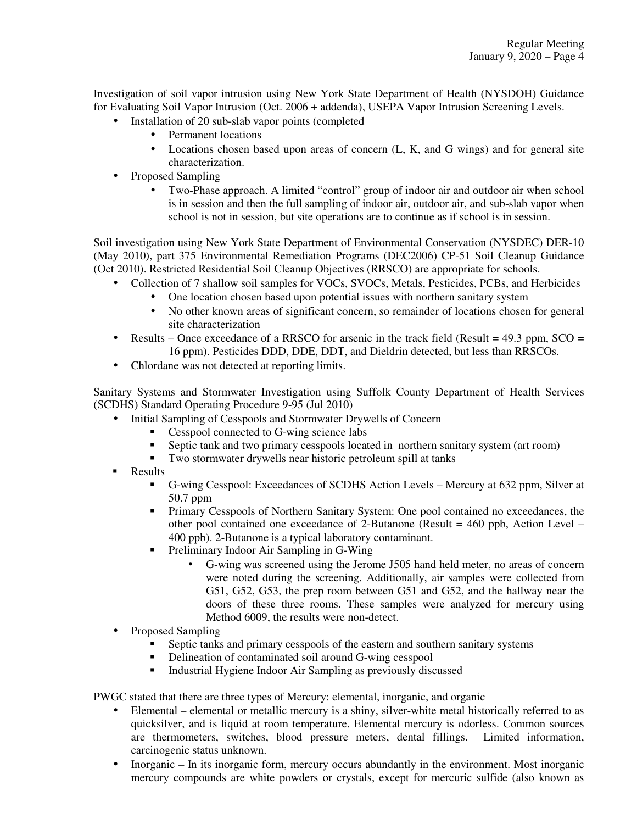Investigation of soil vapor intrusion using New York State Department of Health (NYSDOH) Guidance for Evaluating Soil Vapor Intrusion (Oct. 2006 + addenda), USEPA Vapor Intrusion Screening Levels.

- Installation of 20 sub-slab vapor points (completed
	- Permanent locations
	- Locations chosen based upon areas of concern (L, K, and G wings) and for general site characterization.
- Proposed Sampling
	- Two-Phase approach. A limited "control" group of indoor air and outdoor air when school is in session and then the full sampling of indoor air, outdoor air, and sub-slab vapor when school is not in session, but site operations are to continue as if school is in session.

Soil investigation using New York State Department of Environmental Conservation (NYSDEC) DER-10 (May 2010), part 375 Environmental Remediation Programs (DEC2006) CP-51 Soil Cleanup Guidance (Oct 2010). Restricted Residential Soil Cleanup Objectives (RRSCO) are appropriate for schools.

- Collection of 7 shallow soil samples for VOCs, SVOCs, Metals, Pesticides, PCBs, and Herbicides
	- One location chosen based upon potential issues with northern sanitary system
	- No other known areas of significant concern, so remainder of locations chosen for general site characterization
- Results Once exceedance of a RRSCO for arsenic in the track field (Result =  $49.3$  ppm, SCO = 16 ppm). Pesticides DDD, DDE, DDT, and Dieldrin detected, but less than RRSCOs.
- Chlordane was not detected at reporting limits.

Sanitary Systems and Stormwater Investigation using Suffolk County Department of Health Services (SCDHS) Standard Operating Procedure 9-95 (Jul 2010)

- Initial Sampling of Cesspools and Stormwater Drywells of Concern
	- Cesspool connected to G-wing science labs
	- Septic tank and two primary cesspools located in northern sanitary system (art room)
	- **Two stormwater drywells near historic petroleum spill at tanks**
- Results
	- G-wing Cesspool: Exceedances of SCDHS Action Levels Mercury at 632 ppm, Silver at 50.7 ppm
	- Primary Cesspools of Northern Sanitary System: One pool contained no exceedances, the other pool contained one exceedance of 2-Butanone (Result  $= 460$  ppb, Action Level – 400 ppb). 2-Butanone is a typical laboratory contaminant.
	- Preliminary Indoor Air Sampling in G-Wing
		- G-wing was screened using the Jerome J505 hand held meter, no areas of concern were noted during the screening. Additionally, air samples were collected from G51, G52, G53, the prep room between G51 and G52, and the hallway near the doors of these three rooms. These samples were analyzed for mercury using Method 6009, the results were non-detect.
- Proposed Sampling
	- Septic tanks and primary cesspools of the eastern and southern sanitary systems
	- Delineation of contaminated soil around G-wing cesspool
	- **Industrial Hygiene Indoor Air Sampling as previously discussed**

PWGC stated that there are three types of Mercury: elemental, inorganic, and organic

- Elemental elemental or metallic mercury is a shiny, silver-white metal historically referred to as quicksilver, and is liquid at room temperature. Elemental mercury is odorless. Common sources are thermometers, switches, blood pressure meters, dental fillings. Limited information, carcinogenic status unknown.
- Inorganic In its inorganic form, mercury occurs abundantly in the environment. Most inorganic mercury compounds are white powders or crystals, except for mercuric sulfide (also known as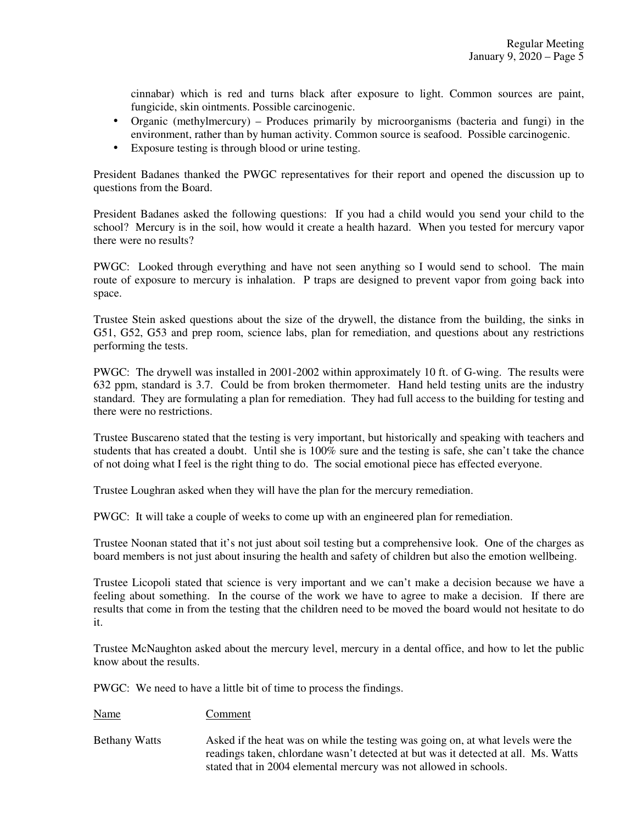cinnabar) which is red and turns black after exposure to light. Common sources are paint, fungicide, skin ointments. Possible carcinogenic.

- Organic (methylmercury) Produces primarily by microorganisms (bacteria and fungi) in the environment, rather than by human activity. Common source is seafood. Possible carcinogenic.
- Exposure testing is through blood or urine testing.

President Badanes thanked the PWGC representatives for their report and opened the discussion up to questions from the Board.

President Badanes asked the following questions: If you had a child would you send your child to the school? Mercury is in the soil, how would it create a health hazard. When you tested for mercury vapor there were no results?

PWGC: Looked through everything and have not seen anything so I would send to school. The main route of exposure to mercury is inhalation. P traps are designed to prevent vapor from going back into space.

Trustee Stein asked questions about the size of the drywell, the distance from the building, the sinks in G51, G52, G53 and prep room, science labs, plan for remediation, and questions about any restrictions performing the tests.

PWGC: The drywell was installed in 2001-2002 within approximately 10 ft. of G-wing. The results were 632 ppm, standard is 3.7. Could be from broken thermometer. Hand held testing units are the industry standard. They are formulating a plan for remediation. They had full access to the building for testing and there were no restrictions.

Trustee Buscareno stated that the testing is very important, but historically and speaking with teachers and students that has created a doubt. Until she is 100% sure and the testing is safe, she can't take the chance of not doing what I feel is the right thing to do. The social emotional piece has effected everyone.

Trustee Loughran asked when they will have the plan for the mercury remediation.

PWGC: It will take a couple of weeks to come up with an engineered plan for remediation.

Trustee Noonan stated that it's not just about soil testing but a comprehensive look. One of the charges as board members is not just about insuring the health and safety of children but also the emotion wellbeing.

Trustee Licopoli stated that science is very important and we can't make a decision because we have a feeling about something. In the course of the work we have to agree to make a decision. If there are results that come in from the testing that the children need to be moved the board would not hesitate to do it.

Trustee McNaughton asked about the mercury level, mercury in a dental office, and how to let the public know about the results.

PWGC: We need to have a little bit of time to process the findings.

Name Comment

Bethany Watts Asked if the heat was on while the testing was going on, at what levels were the readings taken, chlordane wasn't detected at but was it detected at all. Ms. Watts stated that in 2004 elemental mercury was not allowed in schools.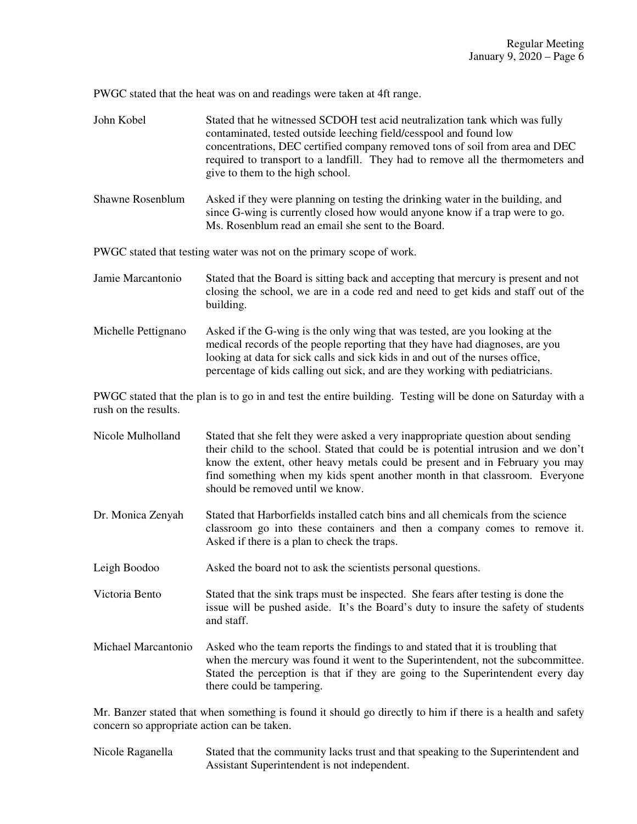PWGC stated that the heat was on and readings were taken at 4ft range.

| John Kobel                                                           | Stated that he witnessed SCDOH test acid neutralization tank which was fully<br>contaminated, tested outside leeching field/cesspool and found low<br>concentrations, DEC certified company removed tons of soil from area and DEC<br>required to transport to a landfill. They had to remove all the thermometers and<br>give to them to the high school.                 |  |
|----------------------------------------------------------------------|----------------------------------------------------------------------------------------------------------------------------------------------------------------------------------------------------------------------------------------------------------------------------------------------------------------------------------------------------------------------------|--|
| Shawne Rosenblum                                                     | Asked if they were planning on testing the drinking water in the building, and<br>since G-wing is currently closed how would anyone know if a trap were to go.<br>Ms. Rosenblum read an email she sent to the Board.                                                                                                                                                       |  |
| PWGC stated that testing water was not on the primary scope of work. |                                                                                                                                                                                                                                                                                                                                                                            |  |
| Jamie Marcantonio                                                    | Stated that the Board is sitting back and accepting that mercury is present and not<br>closing the school, we are in a code red and need to get kids and staff out of the<br>building.                                                                                                                                                                                     |  |
| Michelle Pettignano                                                  | Asked if the G-wing is the only wing that was tested, are you looking at the<br>medical records of the people reporting that they have had diagnoses, are you<br>looking at data for sick calls and sick kids in and out of the nurses office,<br>percentage of kids calling out sick, and are they working with pediatricians.                                            |  |
| rush on the results.                                                 | PWGC stated that the plan is to go in and test the entire building. Testing will be done on Saturday with a                                                                                                                                                                                                                                                                |  |
| Nicole Mulholland                                                    | Stated that she felt they were asked a very inappropriate question about sending<br>their child to the school. Stated that could be is potential intrusion and we don't<br>know the extent, other heavy metals could be present and in February you may<br>find something when my kids spent another month in that classroom. Everyone<br>should be removed until we know. |  |
| Dr. Monica Zenyah                                                    | Stated that Harborfields installed catch bins and all chemicals from the science                                                                                                                                                                                                                                                                                           |  |

- classroom go into these containers and then a company comes to remove it. Asked if there is a plan to check the traps.
- Leigh Boodoo Asked the board not to ask the scientists personal questions.

Victoria Bento Stated that the sink traps must be inspected. She fears after testing is done the issue will be pushed aside. It's the Board's duty to insure the safety of students and staff.

Michael Marcantonio Asked who the team reports the findings to and stated that it is troubling that when the mercury was found it went to the Superintendent, not the subcommittee. Stated the perception is that if they are going to the Superintendent every day there could be tampering.

Mr. Banzer stated that when something is found it should go directly to him if there is a health and safety concern so appropriate action can be taken.

Nicole Raganella Stated that the community lacks trust and that speaking to the Superintendent and Assistant Superintendent is not independent.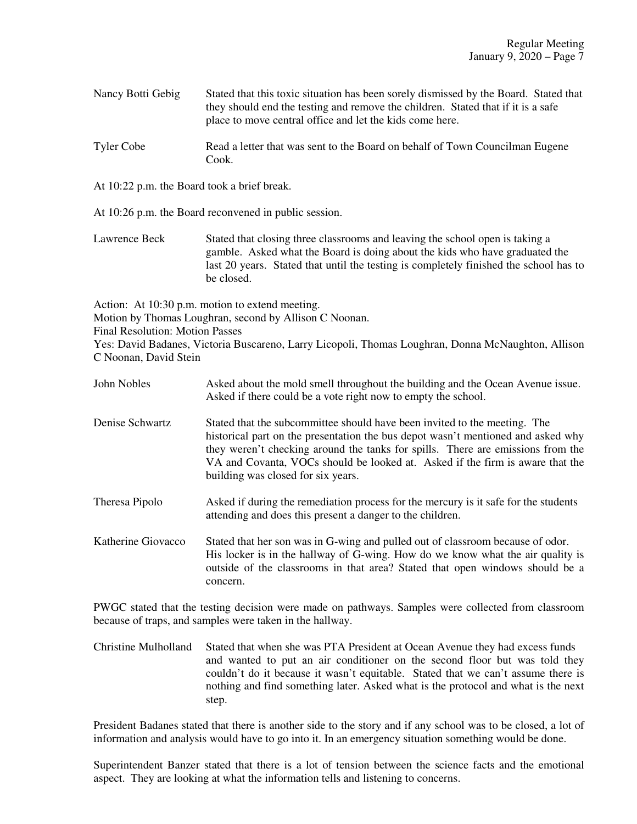Nancy Botti Gebig Stated that this toxic situation has been sorely dismissed by the Board. Stated that they should end the testing and remove the children. Stated that if it is a safe place to move central office and let the kids come here.

- Tyler Cobe Read a letter that was sent to the Board on behalf of Town Councilman Eugene Cook.
- At 10:22 p.m. the Board took a brief break.
- At 10:26 p.m. the Board reconvened in public session.

Lawrence Beck Stated that closing three classrooms and leaving the school open is taking a gamble. Asked what the Board is doing about the kids who have graduated the last 20 years. Stated that until the testing is completely finished the school has to be closed.

Action: At 10:30 p.m. motion to extend meeting.

Motion by Thomas Loughran, second by Allison C Noonan.

Final Resolution: Motion Passes

Yes: David Badanes, Victoria Buscareno, Larry Licopoli, Thomas Loughran, Donna McNaughton, Allison C Noonan, David Stein

- John Nobles Asked about the mold smell throughout the building and the Ocean Avenue issue. Asked if there could be a vote right now to empty the school.
- Denise Schwartz Stated that the subcommittee should have been invited to the meeting. The historical part on the presentation the bus depot wasn't mentioned and asked why they weren't checking around the tanks for spills. There are emissions from the VA and Covanta, VOCs should be looked at. Asked if the firm is aware that the building was closed for six years.
- Theresa Pipolo Asked if during the remediation process for the mercury is it safe for the students attending and does this present a danger to the children.
- Katherine Giovacco Stated that her son was in G-wing and pulled out of classroom because of odor. His locker is in the hallway of G-wing. How do we know what the air quality is outside of the classrooms in that area? Stated that open windows should be a concern.

PWGC stated that the testing decision were made on pathways. Samples were collected from classroom because of traps, and samples were taken in the hallway.

Christine Mulholland Stated that when she was PTA President at Ocean Avenue they had excess funds and wanted to put an air conditioner on the second floor but was told they couldn't do it because it wasn't equitable. Stated that we can't assume there is nothing and find something later. Asked what is the protocol and what is the next step.

President Badanes stated that there is another side to the story and if any school was to be closed, a lot of information and analysis would have to go into it. In an emergency situation something would be done.

Superintendent Banzer stated that there is a lot of tension between the science facts and the emotional aspect. They are looking at what the information tells and listening to concerns.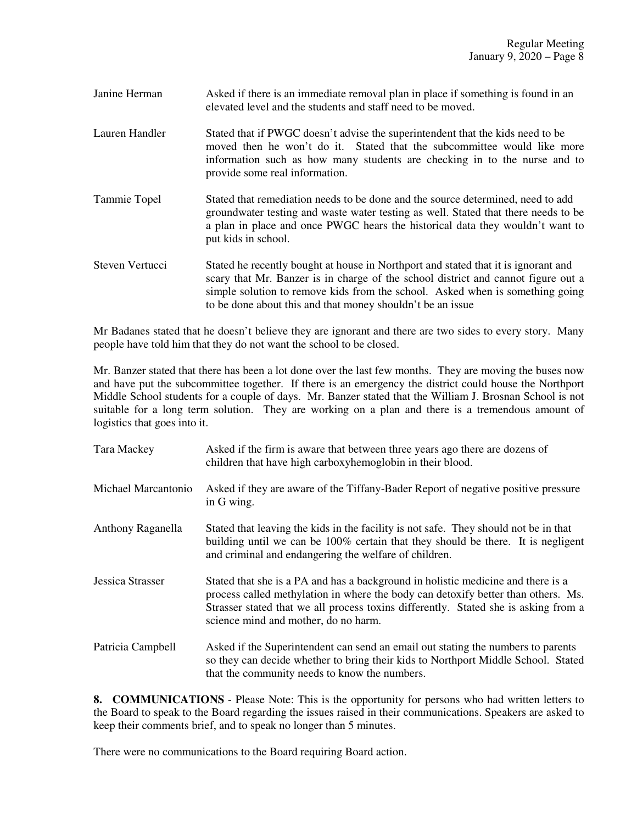| Janine Herman | Asked if there is an immediate removal plan in place if something is found in an |
|---------------|----------------------------------------------------------------------------------|
|               | elevated level and the students and staff need to be moved.                      |

- Lauren Handler Stated that if PWGC doesn't advise the superintendent that the kids need to be moved then he won't do it. Stated that the subcommittee would like more information such as how many students are checking in to the nurse and to provide some real information.
- Tammie Topel Stated that remediation needs to be done and the source determined, need to add groundwater testing and waste water testing as well. Stated that there needs to be a plan in place and once PWGC hears the historical data they wouldn't want to put kids in school.
- Steven Vertucci Stated he recently bought at house in Northport and stated that it is ignorant and scary that Mr. Banzer is in charge of the school district and cannot figure out a simple solution to remove kids from the school. Asked when is something going to be done about this and that money shouldn't be an issue

Mr Badanes stated that he doesn't believe they are ignorant and there are two sides to every story. Many people have told him that they do not want the school to be closed.

Mr. Banzer stated that there has been a lot done over the last few months. They are moving the buses now and have put the subcommittee together. If there is an emergency the district could house the Northport Middle School students for a couple of days. Mr. Banzer stated that the William J. Brosnan School is not suitable for a long term solution. They are working on a plan and there is a tremendous amount of logistics that goes into it.

| Tara Mackey             | Asked if the firm is aware that between three years ago there are dozens of<br>children that have high carboxyhemoglobin in their blood.                                                                                                                                                             |
|-------------------------|------------------------------------------------------------------------------------------------------------------------------------------------------------------------------------------------------------------------------------------------------------------------------------------------------|
| Michael Marcantonio     | Asked if they are aware of the Tiffany-Bader Report of negative positive pressure<br>in G wing.                                                                                                                                                                                                      |
| Anthony Raganella       | Stated that leaving the kids in the facility is not safe. They should not be in that<br>building until we can be 100% certain that they should be there. It is negligent<br>and criminal and endangering the welfare of children.                                                                    |
| <b>Jessica Strasser</b> | Stated that she is a PA and has a background in holistic medicine and there is a<br>process called methylation in where the body can detoxify better than others. Ms.<br>Strasser stated that we all process toxins differently. Stated she is asking from a<br>science mind and mother, do no harm. |
| Patricia Campbell       | Asked if the Superintendent can send an email out stating the numbers to parents<br>so they can decide whether to bring their kids to Northport Middle School. Stated<br>that the community needs to know the numbers.                                                                               |

**8. COMMUNICATIONS** - Please Note: This is the opportunity for persons who had written letters to the Board to speak to the Board regarding the issues raised in their communications. Speakers are asked to keep their comments brief, and to speak no longer than 5 minutes.

There were no communications to the Board requiring Board action.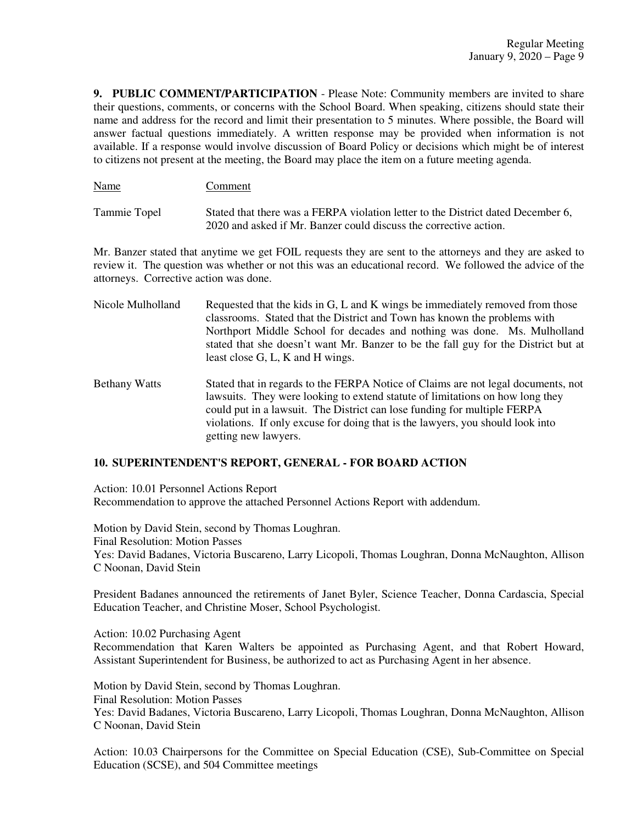**9. PUBLIC COMMENT/PARTICIPATION** - Please Note: Community members are invited to share their questions, comments, or concerns with the School Board. When speaking, citizens should state their name and address for the record and limit their presentation to 5 minutes. Where possible, the Board will answer factual questions immediately. A written response may be provided when information is not available. If a response would involve discussion of Board Policy or decisions which might be of interest to citizens not present at the meeting, the Board may place the item on a future meeting agenda.

Tammie Topel Stated that there was a FERPA violation letter to the District dated December 6, 2020 and asked if Mr. Banzer could discuss the corrective action.

Name Comment

Mr. Banzer stated that anytime we get FOIL requests they are sent to the attorneys and they are asked to review it. The question was whether or not this was an educational record. We followed the advice of the attorneys. Corrective action was done.

Nicole Mulholland Requested that the kids in  $G, L$  and K wings be immediately removed from those classrooms. Stated that the District and Town has known the problems with Northport Middle School for decades and nothing was done. Ms. Mulholland stated that she doesn't want Mr. Banzer to be the fall guy for the District but at least close G, L, K and H wings. Bethany Watts Stated that in regards to the FERPA Notice of Claims are not legal documents, not lawsuits. They were looking to extend statute of limitations on how long they could put in a lawsuit. The District can lose funding for multiple FERPA violations. If only excuse for doing that is the lawyers, you should look into

# **10. SUPERINTENDENT'S REPORT, GENERAL - FOR BOARD ACTION**

getting new lawyers.

Action: 10.01 Personnel Actions Report Recommendation to approve the attached Personnel Actions Report with addendum.

Motion by David Stein, second by Thomas Loughran. Final Resolution: Motion Passes Yes: David Badanes, Victoria Buscareno, Larry Licopoli, Thomas Loughran, Donna McNaughton, Allison C Noonan, David Stein

President Badanes announced the retirements of Janet Byler, Science Teacher, Donna Cardascia, Special Education Teacher, and Christine Moser, School Psychologist.

Action: 10.02 Purchasing Agent Recommendation that Karen Walters be appointed as Purchasing Agent, and that Robert Howard, Assistant Superintendent for Business, be authorized to act as Purchasing Agent in her absence.

Motion by David Stein, second by Thomas Loughran. Final Resolution: Motion Passes Yes: David Badanes, Victoria Buscareno, Larry Licopoli, Thomas Loughran, Donna McNaughton, Allison C Noonan, David Stein

Action: 10.03 Chairpersons for the Committee on Special Education (CSE), Sub-Committee on Special Education (SCSE), and 504 Committee meetings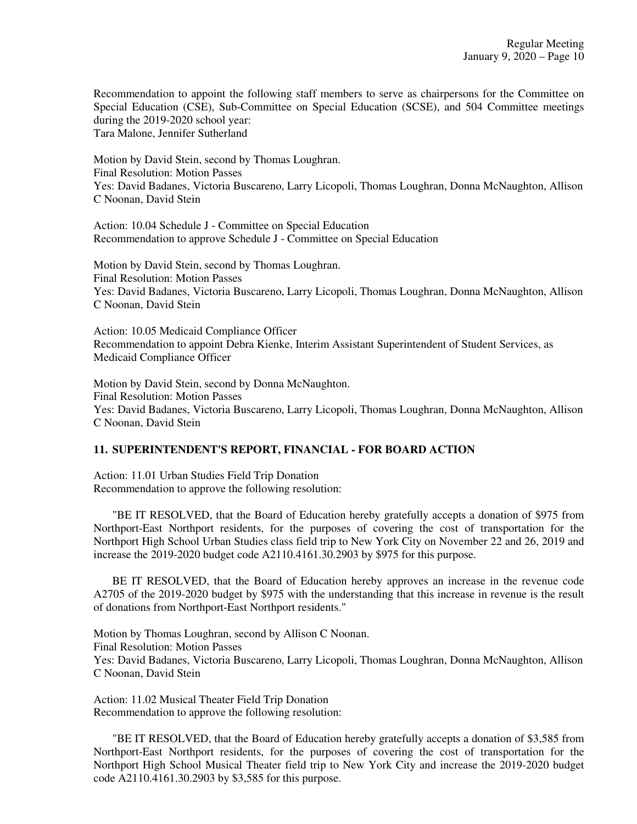Recommendation to appoint the following staff members to serve as chairpersons for the Committee on Special Education (CSE), Sub-Committee on Special Education (SCSE), and 504 Committee meetings during the 2019-2020 school year:

Tara Malone, Jennifer Sutherland

Motion by David Stein, second by Thomas Loughran. Final Resolution: Motion Passes Yes: David Badanes, Victoria Buscareno, Larry Licopoli, Thomas Loughran, Donna McNaughton, Allison C Noonan, David Stein

Action: 10.04 Schedule J - Committee on Special Education Recommendation to approve Schedule J - Committee on Special Education

Motion by David Stein, second by Thomas Loughran. Final Resolution: Motion Passes Yes: David Badanes, Victoria Buscareno, Larry Licopoli, Thomas Loughran, Donna McNaughton, Allison C Noonan, David Stein

Action: 10.05 Medicaid Compliance Officer Recommendation to appoint Debra Kienke, Interim Assistant Superintendent of Student Services, as Medicaid Compliance Officer

Motion by David Stein, second by Donna McNaughton. Final Resolution: Motion Passes Yes: David Badanes, Victoria Buscareno, Larry Licopoli, Thomas Loughran, Donna McNaughton, Allison C Noonan, David Stein

## **11. SUPERINTENDENT'S REPORT, FINANCIAL - FOR BOARD ACTION**

Action: 11.01 Urban Studies Field Trip Donation Recommendation to approve the following resolution:

"BE IT RESOLVED, that the Board of Education hereby gratefully accepts a donation of \$975 from Northport-East Northport residents, for the purposes of covering the cost of transportation for the Northport High School Urban Studies class field trip to New York City on November 22 and 26, 2019 and increase the 2019-2020 budget code A2110.4161.30.2903 by \$975 for this purpose.

BE IT RESOLVED, that the Board of Education hereby approves an increase in the revenue code A2705 of the 2019-2020 budget by \$975 with the understanding that this increase in revenue is the result of donations from Northport-East Northport residents."

Motion by Thomas Loughran, second by Allison C Noonan. Final Resolution: Motion Passes Yes: David Badanes, Victoria Buscareno, Larry Licopoli, Thomas Loughran, Donna McNaughton, Allison C Noonan, David Stein

Action: 11.02 Musical Theater Field Trip Donation Recommendation to approve the following resolution:

 "BE IT RESOLVED, that the Board of Education hereby gratefully accepts a donation of \$3,585 from Northport-East Northport residents, for the purposes of covering the cost of transportation for the Northport High School Musical Theater field trip to New York City and increase the 2019-2020 budget code A2110.4161.30.2903 by \$3,585 for this purpose.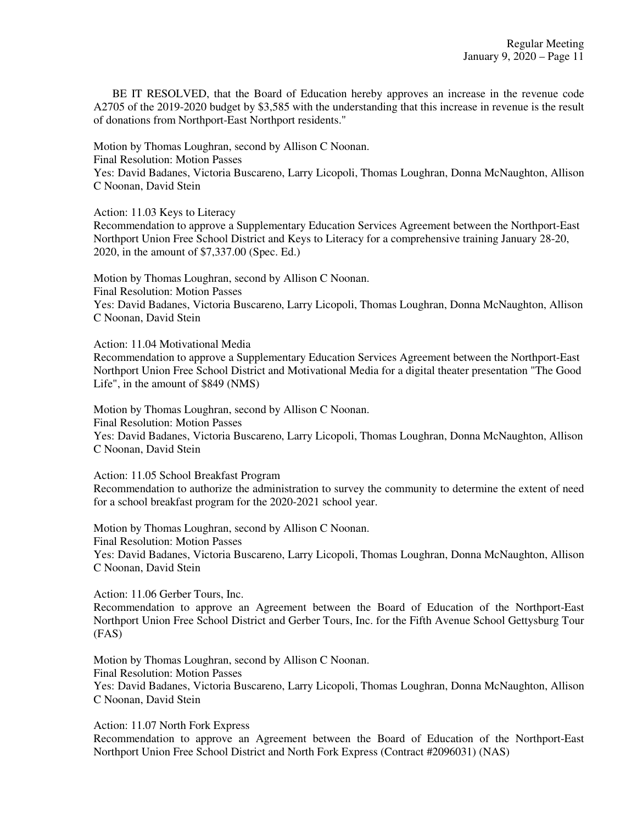BE IT RESOLVED, that the Board of Education hereby approves an increase in the revenue code A2705 of the 2019-2020 budget by \$3,585 with the understanding that this increase in revenue is the result of donations from Northport-East Northport residents."

Motion by Thomas Loughran, second by Allison C Noonan.

Final Resolution: Motion Passes

Yes: David Badanes, Victoria Buscareno, Larry Licopoli, Thomas Loughran, Donna McNaughton, Allison C Noonan, David Stein

Action: 11.03 Keys to Literacy

Recommendation to approve a Supplementary Education Services Agreement between the Northport-East Northport Union Free School District and Keys to Literacy for a comprehensive training January 28-20, 2020, in the amount of \$7,337.00 (Spec. Ed.)

Motion by Thomas Loughran, second by Allison C Noonan. Final Resolution: Motion Passes Yes: David Badanes, Victoria Buscareno, Larry Licopoli, Thomas Loughran, Donna McNaughton, Allison C Noonan, David Stein

Action: 11.04 Motivational Media

Recommendation to approve a Supplementary Education Services Agreement between the Northport-East Northport Union Free School District and Motivational Media for a digital theater presentation "The Good Life", in the amount of \$849 (NMS)

Motion by Thomas Loughran, second by Allison C Noonan. Final Resolution: Motion Passes Yes: David Badanes, Victoria Buscareno, Larry Licopoli, Thomas Loughran, Donna McNaughton, Allison C Noonan, David Stein

Action: 11.05 School Breakfast Program Recommendation to authorize the administration to survey the community to determine the extent of need for a school breakfast program for the 2020-2021 school year.

Motion by Thomas Loughran, second by Allison C Noonan. Final Resolution: Motion Passes Yes: David Badanes, Victoria Buscareno, Larry Licopoli, Thomas Loughran, Donna McNaughton, Allison C Noonan, David Stein

Action: 11.06 Gerber Tours, Inc.

Recommendation to approve an Agreement between the Board of Education of the Northport-East Northport Union Free School District and Gerber Tours, Inc. for the Fifth Avenue School Gettysburg Tour (FAS)

Motion by Thomas Loughran, second by Allison C Noonan.

Final Resolution: Motion Passes

Yes: David Badanes, Victoria Buscareno, Larry Licopoli, Thomas Loughran, Donna McNaughton, Allison C Noonan, David Stein

Action: 11.07 North Fork Express

Recommendation to approve an Agreement between the Board of Education of the Northport-East Northport Union Free School District and North Fork Express (Contract #2096031) (NAS)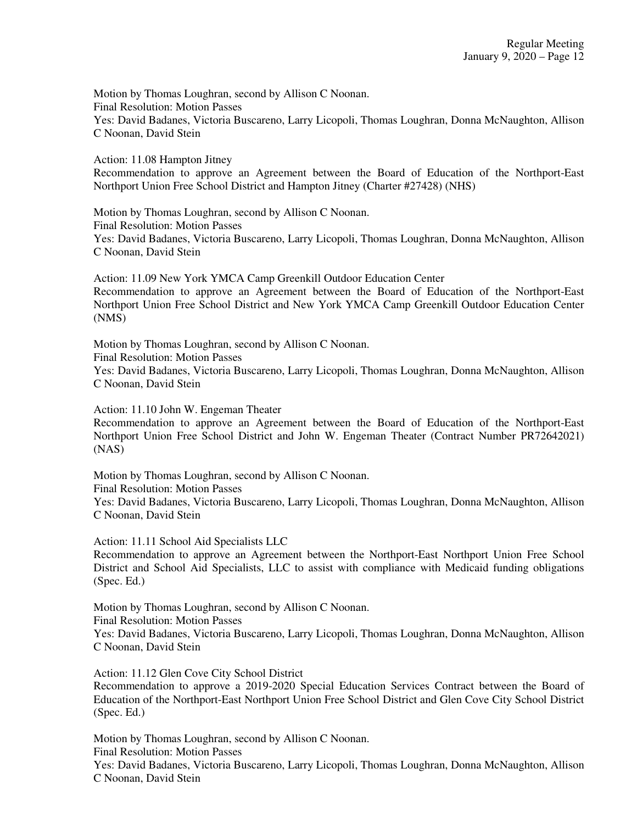Action: 11.08 Hampton Jitney Recommendation to approve an Agreement between the Board of Education of the Northport-East Northport Union Free School District and Hampton Jitney (Charter #27428) (NHS)

Motion by Thomas Loughran, second by Allison C Noonan. Final Resolution: Motion Passes Yes: David Badanes, Victoria Buscareno, Larry Licopoli, Thomas Loughran, Donna McNaughton, Allison C Noonan, David Stein

Action: 11.09 New York YMCA Camp Greenkill Outdoor Education Center Recommendation to approve an Agreement between the Board of Education of the Northport-East Northport Union Free School District and New York YMCA Camp Greenkill Outdoor Education Center (NMS)

Motion by Thomas Loughran, second by Allison C Noonan. Final Resolution: Motion Passes Yes: David Badanes, Victoria Buscareno, Larry Licopoli, Thomas Loughran, Donna McNaughton, Allison C Noonan, David Stein

Action: 11.10 John W. Engeman Theater

Recommendation to approve an Agreement between the Board of Education of the Northport-East Northport Union Free School District and John W. Engeman Theater (Contract Number PR72642021) (NAS)

Motion by Thomas Loughran, second by Allison C Noonan. Final Resolution: Motion Passes Yes: David Badanes, Victoria Buscareno, Larry Licopoli, Thomas Loughran, Donna McNaughton, Allison C Noonan, David Stein

Action: 11.11 School Aid Specialists LLC

Recommendation to approve an Agreement between the Northport-East Northport Union Free School District and School Aid Specialists, LLC to assist with compliance with Medicaid funding obligations (Spec. Ed.)

Motion by Thomas Loughran, second by Allison C Noonan. Final Resolution: Motion Passes Yes: David Badanes, Victoria Buscareno, Larry Licopoli, Thomas Loughran, Donna McNaughton, Allison C Noonan, David Stein

Action: 11.12 Glen Cove City School District

Recommendation to approve a 2019-2020 Special Education Services Contract between the Board of Education of the Northport-East Northport Union Free School District and Glen Cove City School District (Spec. Ed.)

Motion by Thomas Loughran, second by Allison C Noonan. Final Resolution: Motion Passes

Yes: David Badanes, Victoria Buscareno, Larry Licopoli, Thomas Loughran, Donna McNaughton, Allison C Noonan, David Stein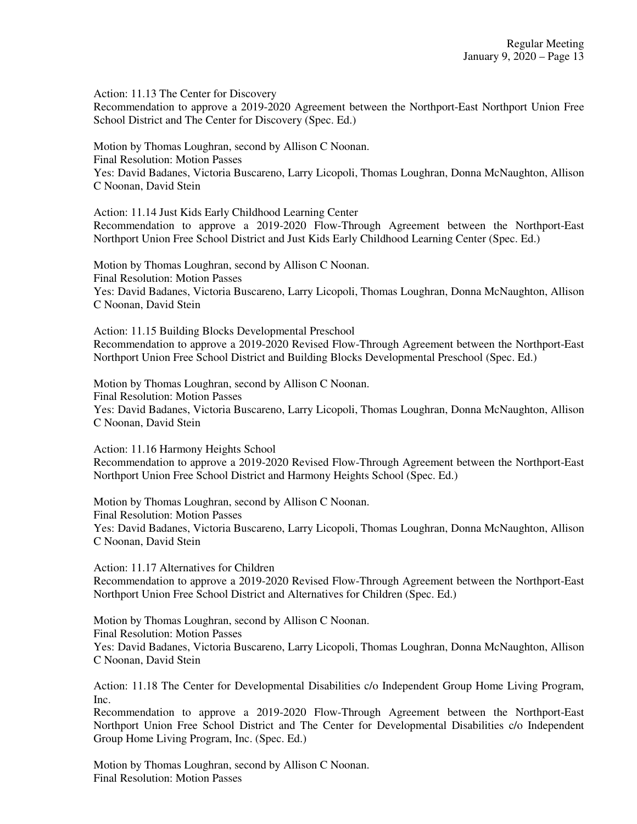Action: 11.13 The Center for Discovery

Recommendation to approve a 2019-2020 Agreement between the Northport-East Northport Union Free School District and The Center for Discovery (Spec. Ed.)

Motion by Thomas Loughran, second by Allison C Noonan. Final Resolution: Motion Passes Yes: David Badanes, Victoria Buscareno, Larry Licopoli, Thomas Loughran, Donna McNaughton, Allison C Noonan, David Stein

Action: 11.14 Just Kids Early Childhood Learning Center

Recommendation to approve a 2019-2020 Flow-Through Agreement between the Northport-East Northport Union Free School District and Just Kids Early Childhood Learning Center (Spec. Ed.)

Motion by Thomas Loughran, second by Allison C Noonan. Final Resolution: Motion Passes Yes: David Badanes, Victoria Buscareno, Larry Licopoli, Thomas Loughran, Donna McNaughton, Allison C Noonan, David Stein

Action: 11.15 Building Blocks Developmental Preschool Recommendation to approve a 2019-2020 Revised Flow-Through Agreement between the Northport-East Northport Union Free School District and Building Blocks Developmental Preschool (Spec. Ed.)

Motion by Thomas Loughran, second by Allison C Noonan. Final Resolution: Motion Passes Yes: David Badanes, Victoria Buscareno, Larry Licopoli, Thomas Loughran, Donna McNaughton, Allison C Noonan, David Stein

Action: 11.16 Harmony Heights School Recommendation to approve a 2019-2020 Revised Flow-Through Agreement between the Northport-East Northport Union Free School District and Harmony Heights School (Spec. Ed.)

Motion by Thomas Loughran, second by Allison C Noonan. Final Resolution: Motion Passes Yes: David Badanes, Victoria Buscareno, Larry Licopoli, Thomas Loughran, Donna McNaughton, Allison C Noonan, David Stein

Action: 11.17 Alternatives for Children

Recommendation to approve a 2019-2020 Revised Flow-Through Agreement between the Northport-East Northport Union Free School District and Alternatives for Children (Spec. Ed.)

Motion by Thomas Loughran, second by Allison C Noonan.

Final Resolution: Motion Passes

Yes: David Badanes, Victoria Buscareno, Larry Licopoli, Thomas Loughran, Donna McNaughton, Allison C Noonan, David Stein

Action: 11.18 The Center for Developmental Disabilities c/o Independent Group Home Living Program, Inc.

Recommendation to approve a 2019-2020 Flow-Through Agreement between the Northport-East Northport Union Free School District and The Center for Developmental Disabilities c/o Independent Group Home Living Program, Inc. (Spec. Ed.)

Motion by Thomas Loughran, second by Allison C Noonan. Final Resolution: Motion Passes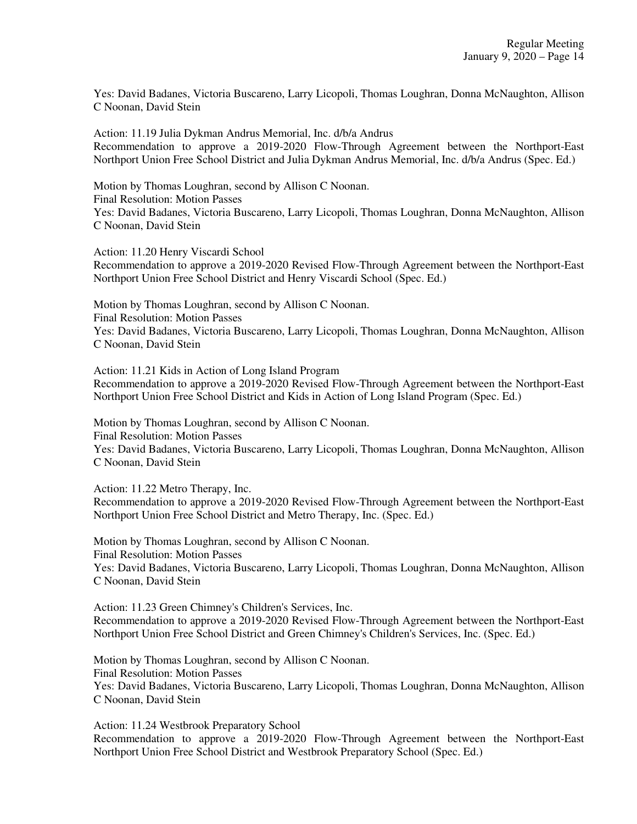Yes: David Badanes, Victoria Buscareno, Larry Licopoli, Thomas Loughran, Donna McNaughton, Allison C Noonan, David Stein

Action: 11.19 Julia Dykman Andrus Memorial, Inc. d/b/a Andrus Recommendation to approve a 2019-2020 Flow-Through Agreement between the Northport-East Northport Union Free School District and Julia Dykman Andrus Memorial, Inc. d/b/a Andrus (Spec. Ed.)

Motion by Thomas Loughran, second by Allison C Noonan. Final Resolution: Motion Passes Yes: David Badanes, Victoria Buscareno, Larry Licopoli, Thomas Loughran, Donna McNaughton, Allison C Noonan, David Stein

Action: 11.20 Henry Viscardi School Recommendation to approve a 2019-2020 Revised Flow-Through Agreement between the Northport-East Northport Union Free School District and Henry Viscardi School (Spec. Ed.)

Motion by Thomas Loughran, second by Allison C Noonan. Final Resolution: Motion Passes Yes: David Badanes, Victoria Buscareno, Larry Licopoli, Thomas Loughran, Donna McNaughton, Allison C Noonan, David Stein

Action: 11.21 Kids in Action of Long Island Program Recommendation to approve a 2019-2020 Revised Flow-Through Agreement between the Northport-East Northport Union Free School District and Kids in Action of Long Island Program (Spec. Ed.)

Motion by Thomas Loughran, second by Allison C Noonan. Final Resolution: Motion Passes Yes: David Badanes, Victoria Buscareno, Larry Licopoli, Thomas Loughran, Donna McNaughton, Allison C Noonan, David Stein

Action: 11.22 Metro Therapy, Inc. Recommendation to approve a 2019-2020 Revised Flow-Through Agreement between the Northport-East Northport Union Free School District and Metro Therapy, Inc. (Spec. Ed.)

Motion by Thomas Loughran, second by Allison C Noonan. Final Resolution: Motion Passes Yes: David Badanes, Victoria Buscareno, Larry Licopoli, Thomas Loughran, Donna McNaughton, Allison C Noonan, David Stein

Action: 11.23 Green Chimney's Children's Services, Inc. Recommendation to approve a 2019-2020 Revised Flow-Through Agreement between the Northport-East Northport Union Free School District and Green Chimney's Children's Services, Inc. (Spec. Ed.)

Motion by Thomas Loughran, second by Allison C Noonan.

Final Resolution: Motion Passes

Yes: David Badanes, Victoria Buscareno, Larry Licopoli, Thomas Loughran, Donna McNaughton, Allison C Noonan, David Stein

Action: 11.24 Westbrook Preparatory School

Recommendation to approve a 2019-2020 Flow-Through Agreement between the Northport-East Northport Union Free School District and Westbrook Preparatory School (Spec. Ed.)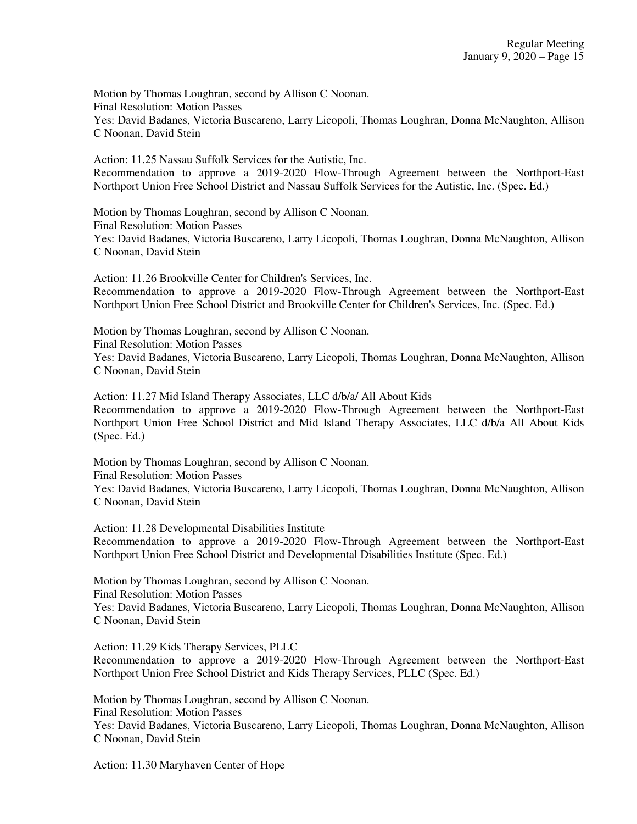Action: 11.25 Nassau Suffolk Services for the Autistic, Inc. Recommendation to approve a 2019-2020 Flow-Through Agreement between the Northport-East Northport Union Free School District and Nassau Suffolk Services for the Autistic, Inc. (Spec. Ed.)

Motion by Thomas Loughran, second by Allison C Noonan. Final Resolution: Motion Passes Yes: David Badanes, Victoria Buscareno, Larry Licopoli, Thomas Loughran, Donna McNaughton, Allison C Noonan, David Stein

Action: 11.26 Brookville Center for Children's Services, Inc. Recommendation to approve a 2019-2020 Flow-Through Agreement between the Northport-East Northport Union Free School District and Brookville Center for Children's Services, Inc. (Spec. Ed.)

Motion by Thomas Loughran, second by Allison C Noonan. Final Resolution: Motion Passes Yes: David Badanes, Victoria Buscareno, Larry Licopoli, Thomas Loughran, Donna McNaughton, Allison C Noonan, David Stein

Action: 11.27 Mid Island Therapy Associates, LLC d/b/a/ All About Kids Recommendation to approve a 2019-2020 Flow-Through Agreement between the Northport-East Northport Union Free School District and Mid Island Therapy Associates, LLC d/b/a All About Kids (Spec. Ed.)

Motion by Thomas Loughran, second by Allison C Noonan. Final Resolution: Motion Passes

Yes: David Badanes, Victoria Buscareno, Larry Licopoli, Thomas Loughran, Donna McNaughton, Allison C Noonan, David Stein

Action: 11.28 Developmental Disabilities Institute Recommendation to approve a 2019-2020 Flow-Through Agreement between the Northport-East Northport Union Free School District and Developmental Disabilities Institute (Spec. Ed.)

Motion by Thomas Loughran, second by Allison C Noonan. Final Resolution: Motion Passes Yes: David Badanes, Victoria Buscareno, Larry Licopoli, Thomas Loughran, Donna McNaughton, Allison C Noonan, David Stein

Action: 11.29 Kids Therapy Services, PLLC Recommendation to approve a 2019-2020 Flow-Through Agreement between the Northport-East Northport Union Free School District and Kids Therapy Services, PLLC (Spec. Ed.)

Motion by Thomas Loughran, second by Allison C Noonan. Final Resolution: Motion Passes Yes: David Badanes, Victoria Buscareno, Larry Licopoli, Thomas Loughran, Donna McNaughton, Allison C Noonan, David Stein

Action: 11.30 Maryhaven Center of Hope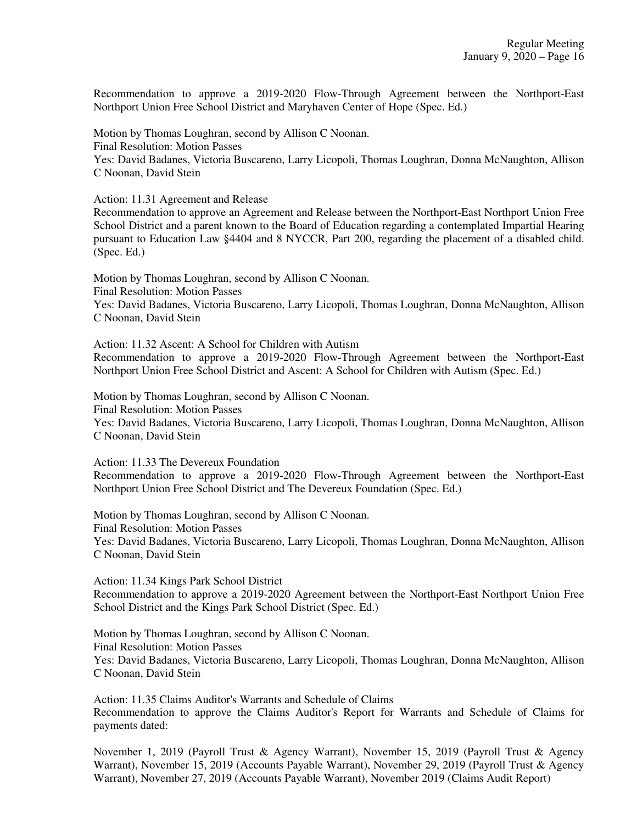Recommendation to approve a 2019-2020 Flow-Through Agreement between the Northport-East Northport Union Free School District and Maryhaven Center of Hope (Spec. Ed.)

Motion by Thomas Loughran, second by Allison C Noonan. Final Resolution: Motion Passes Yes: David Badanes, Victoria Buscareno, Larry Licopoli, Thomas Loughran, Donna McNaughton, Allison C Noonan, David Stein

Action: 11.31 Agreement and Release

Recommendation to approve an Agreement and Release between the Northport-East Northport Union Free School District and a parent known to the Board of Education regarding a contemplated Impartial Hearing pursuant to Education Law §4404 and 8 NYCCR, Part 200, regarding the placement of a disabled child. (Spec. Ed.)

Motion by Thomas Loughran, second by Allison C Noonan. Final Resolution: Motion Passes Yes: David Badanes, Victoria Buscareno, Larry Licopoli, Thomas Loughran, Donna McNaughton, Allison C Noonan, David Stein

Action: 11.32 Ascent: A School for Children with Autism Recommendation to approve a 2019-2020 Flow-Through Agreement between the Northport-East Northport Union Free School District and Ascent: A School for Children with Autism (Spec. Ed.)

Motion by Thomas Loughran, second by Allison C Noonan. Final Resolution: Motion Passes Yes: David Badanes, Victoria Buscareno, Larry Licopoli, Thomas Loughran, Donna McNaughton, Allison C Noonan, David Stein

Action: 11.33 The Devereux Foundation

Recommendation to approve a 2019-2020 Flow-Through Agreement between the Northport-East Northport Union Free School District and The Devereux Foundation (Spec. Ed.)

Motion by Thomas Loughran, second by Allison C Noonan. Final Resolution: Motion Passes Yes: David Badanes, Victoria Buscareno, Larry Licopoli, Thomas Loughran, Donna McNaughton, Allison C Noonan, David Stein

Action: 11.34 Kings Park School District Recommendation to approve a 2019-2020 Agreement between the Northport-East Northport Union Free School District and the Kings Park School District (Spec. Ed.)

Motion by Thomas Loughran, second by Allison C Noonan. Final Resolution: Motion Passes Yes: David Badanes, Victoria Buscareno, Larry Licopoli, Thomas Loughran, Donna McNaughton, Allison C Noonan, David Stein

Action: 11.35 Claims Auditor's Warrants and Schedule of Claims Recommendation to approve the Claims Auditor's Report for Warrants and Schedule of Claims for payments dated:

November 1, 2019 (Payroll Trust & Agency Warrant), November 15, 2019 (Payroll Trust & Agency Warrant), November 15, 2019 (Accounts Payable Warrant), November 29, 2019 (Payroll Trust & Agency Warrant), November 27, 2019 (Accounts Payable Warrant), November 2019 (Claims Audit Report)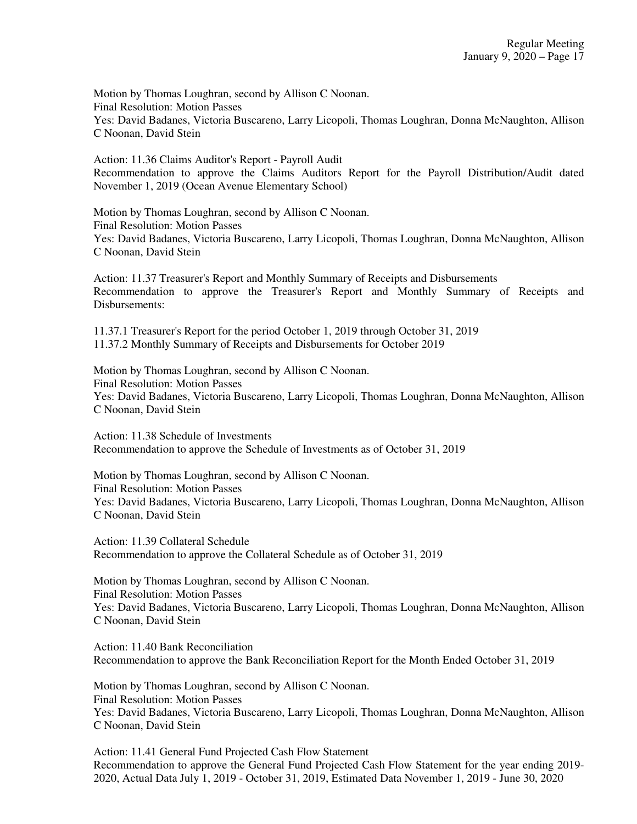Action: 11.36 Claims Auditor's Report - Payroll Audit Recommendation to approve the Claims Auditors Report for the Payroll Distribution/Audit dated November 1, 2019 (Ocean Avenue Elementary School)

Motion by Thomas Loughran, second by Allison C Noonan. Final Resolution: Motion Passes Yes: David Badanes, Victoria Buscareno, Larry Licopoli, Thomas Loughran, Donna McNaughton, Allison C Noonan, David Stein

Action: 11.37 Treasurer's Report and Monthly Summary of Receipts and Disbursements Recommendation to approve the Treasurer's Report and Monthly Summary of Receipts and Disbursements:

11.37.1 Treasurer's Report for the period October 1, 2019 through October 31, 2019 11.37.2 Monthly Summary of Receipts and Disbursements for October 2019

Motion by Thomas Loughran, second by Allison C Noonan. Final Resolution: Motion Passes Yes: David Badanes, Victoria Buscareno, Larry Licopoli, Thomas Loughran, Donna McNaughton, Allison C Noonan, David Stein

Action: 11.38 Schedule of Investments Recommendation to approve the Schedule of Investments as of October 31, 2019

Motion by Thomas Loughran, second by Allison C Noonan. Final Resolution: Motion Passes Yes: David Badanes, Victoria Buscareno, Larry Licopoli, Thomas Loughran, Donna McNaughton, Allison C Noonan, David Stein

Action: 11.39 Collateral Schedule Recommendation to approve the Collateral Schedule as of October 31, 2019

Motion by Thomas Loughran, second by Allison C Noonan. Final Resolution: Motion Passes Yes: David Badanes, Victoria Buscareno, Larry Licopoli, Thomas Loughran, Donna McNaughton, Allison C Noonan, David Stein

Action: 11.40 Bank Reconciliation Recommendation to approve the Bank Reconciliation Report for the Month Ended October 31, 2019

Motion by Thomas Loughran, second by Allison C Noonan. Final Resolution: Motion Passes Yes: David Badanes, Victoria Buscareno, Larry Licopoli, Thomas Loughran, Donna McNaughton, Allison C Noonan, David Stein

Action: 11.41 General Fund Projected Cash Flow Statement Recommendation to approve the General Fund Projected Cash Flow Statement for the year ending 2019- 2020, Actual Data July 1, 2019 - October 31, 2019, Estimated Data November 1, 2019 - June 30, 2020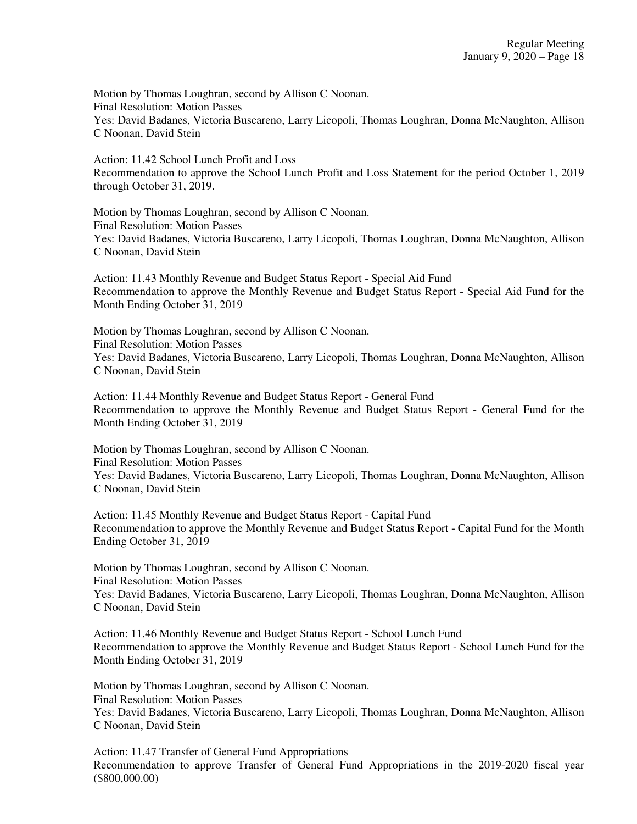Action: 11.42 School Lunch Profit and Loss Recommendation to approve the School Lunch Profit and Loss Statement for the period October 1, 2019 through October 31, 2019.

Motion by Thomas Loughran, second by Allison C Noonan. Final Resolution: Motion Passes Yes: David Badanes, Victoria Buscareno, Larry Licopoli, Thomas Loughran, Donna McNaughton, Allison C Noonan, David Stein

Action: 11.43 Monthly Revenue and Budget Status Report - Special Aid Fund Recommendation to approve the Monthly Revenue and Budget Status Report - Special Aid Fund for the Month Ending October 31, 2019

Motion by Thomas Loughran, second by Allison C Noonan. Final Resolution: Motion Passes Yes: David Badanes, Victoria Buscareno, Larry Licopoli, Thomas Loughran, Donna McNaughton, Allison C Noonan, David Stein

Action: 11.44 Monthly Revenue and Budget Status Report - General Fund Recommendation to approve the Monthly Revenue and Budget Status Report - General Fund for the Month Ending October 31, 2019

Motion by Thomas Loughran, second by Allison C Noonan. Final Resolution: Motion Passes Yes: David Badanes, Victoria Buscareno, Larry Licopoli, Thomas Loughran, Donna McNaughton, Allison C Noonan, David Stein

Action: 11.45 Monthly Revenue and Budget Status Report - Capital Fund Recommendation to approve the Monthly Revenue and Budget Status Report - Capital Fund for the Month Ending October 31, 2019

Motion by Thomas Loughran, second by Allison C Noonan. Final Resolution: Motion Passes Yes: David Badanes, Victoria Buscareno, Larry Licopoli, Thomas Loughran, Donna McNaughton, Allison C Noonan, David Stein

Action: 11.46 Monthly Revenue and Budget Status Report - School Lunch Fund Recommendation to approve the Monthly Revenue and Budget Status Report - School Lunch Fund for the Month Ending October 31, 2019

Motion by Thomas Loughran, second by Allison C Noonan. Final Resolution: Motion Passes Yes: David Badanes, Victoria Buscareno, Larry Licopoli, Thomas Loughran, Donna McNaughton, Allison C Noonan, David Stein

Action: 11.47 Transfer of General Fund Appropriations Recommendation to approve Transfer of General Fund Appropriations in the 2019-2020 fiscal year (\$800,000.00)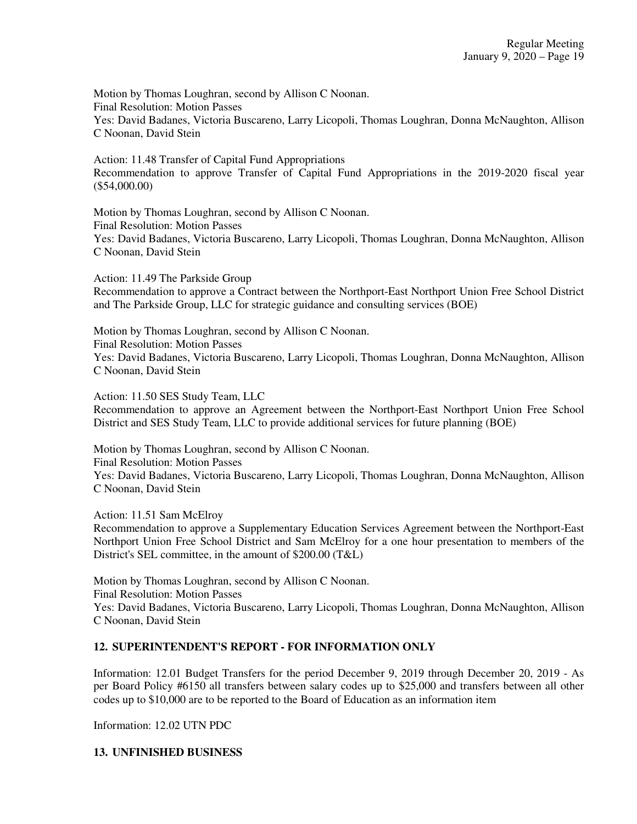Action: 11.48 Transfer of Capital Fund Appropriations Recommendation to approve Transfer of Capital Fund Appropriations in the 2019-2020 fiscal year (\$54,000.00)

Motion by Thomas Loughran, second by Allison C Noonan. Final Resolution: Motion Passes Yes: David Badanes, Victoria Buscareno, Larry Licopoli, Thomas Loughran, Donna McNaughton, Allison C Noonan, David Stein

Action: 11.49 The Parkside Group Recommendation to approve a Contract between the Northport-East Northport Union Free School District and The Parkside Group, LLC for strategic guidance and consulting services (BOE)

Motion by Thomas Loughran, second by Allison C Noonan. Final Resolution: Motion Passes Yes: David Badanes, Victoria Buscareno, Larry Licopoli, Thomas Loughran, Donna McNaughton, Allison C Noonan, David Stein

Action: 11.50 SES Study Team, LLC

Recommendation to approve an Agreement between the Northport-East Northport Union Free School District and SES Study Team, LLC to provide additional services for future planning (BOE)

Motion by Thomas Loughran, second by Allison C Noonan. Final Resolution: Motion Passes Yes: David Badanes, Victoria Buscareno, Larry Licopoli, Thomas Loughran, Donna McNaughton, Allison C Noonan, David Stein

Action: 11.51 Sam McElroy

Recommendation to approve a Supplementary Education Services Agreement between the Northport-East Northport Union Free School District and Sam McElroy for a one hour presentation to members of the District's SEL committee, in the amount of \$200.00 (T&L)

Motion by Thomas Loughran, second by Allison C Noonan. Final Resolution: Motion Passes Yes: David Badanes, Victoria Buscareno, Larry Licopoli, Thomas Loughran, Donna McNaughton, Allison C Noonan, David Stein

# **12. SUPERINTENDENT'S REPORT - FOR INFORMATION ONLY**

Information: 12.01 Budget Transfers for the period December 9, 2019 through December 20, 2019 - As per Board Policy #6150 all transfers between salary codes up to \$25,000 and transfers between all other codes up to \$10,000 are to be reported to the Board of Education as an information item

Information: 12.02 UTN PDC

## **13. UNFINISHED BUSINESS**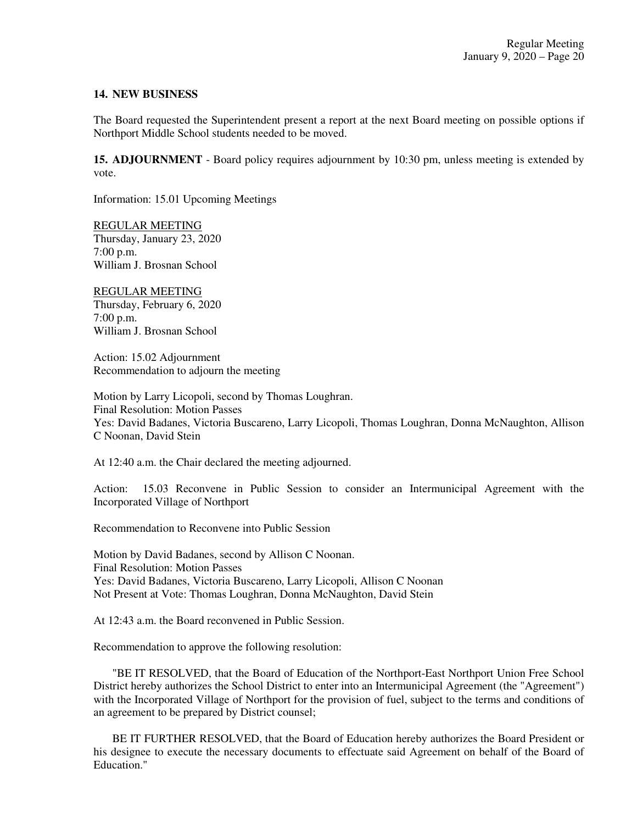### **14. NEW BUSINESS**

The Board requested the Superintendent present a report at the next Board meeting on possible options if Northport Middle School students needed to be moved.

**15. ADJOURNMENT** - Board policy requires adjournment by 10:30 pm, unless meeting is extended by vote.

Information: 15.01 Upcoming Meetings

REGULAR MEETING Thursday, January 23, 2020 7:00 p.m. William J. Brosnan School

REGULAR MEETING Thursday, February 6, 2020 7:00 p.m. William J. Brosnan School

Action: 15.02 Adjournment Recommendation to adjourn the meeting

Motion by Larry Licopoli, second by Thomas Loughran. Final Resolution: Motion Passes Yes: David Badanes, Victoria Buscareno, Larry Licopoli, Thomas Loughran, Donna McNaughton, Allison C Noonan, David Stein

At 12:40 a.m. the Chair declared the meeting adjourned.

Action: 15.03 Reconvene in Public Session to consider an Intermunicipal Agreement with the Incorporated Village of Northport

Recommendation to Reconvene into Public Session

Motion by David Badanes, second by Allison C Noonan. Final Resolution: Motion Passes Yes: David Badanes, Victoria Buscareno, Larry Licopoli, Allison C Noonan Not Present at Vote: Thomas Loughran, Donna McNaughton, David Stein

At 12:43 a.m. the Board reconvened in Public Session.

Recommendation to approve the following resolution:

"BE IT RESOLVED, that the Board of Education of the Northport-East Northport Union Free School District hereby authorizes the School District to enter into an Intermunicipal Agreement (the "Agreement") with the Incorporated Village of Northport for the provision of fuel, subject to the terms and conditions of an agreement to be prepared by District counsel;

BE IT FURTHER RESOLVED, that the Board of Education hereby authorizes the Board President or his designee to execute the necessary documents to effectuate said Agreement on behalf of the Board of Education."